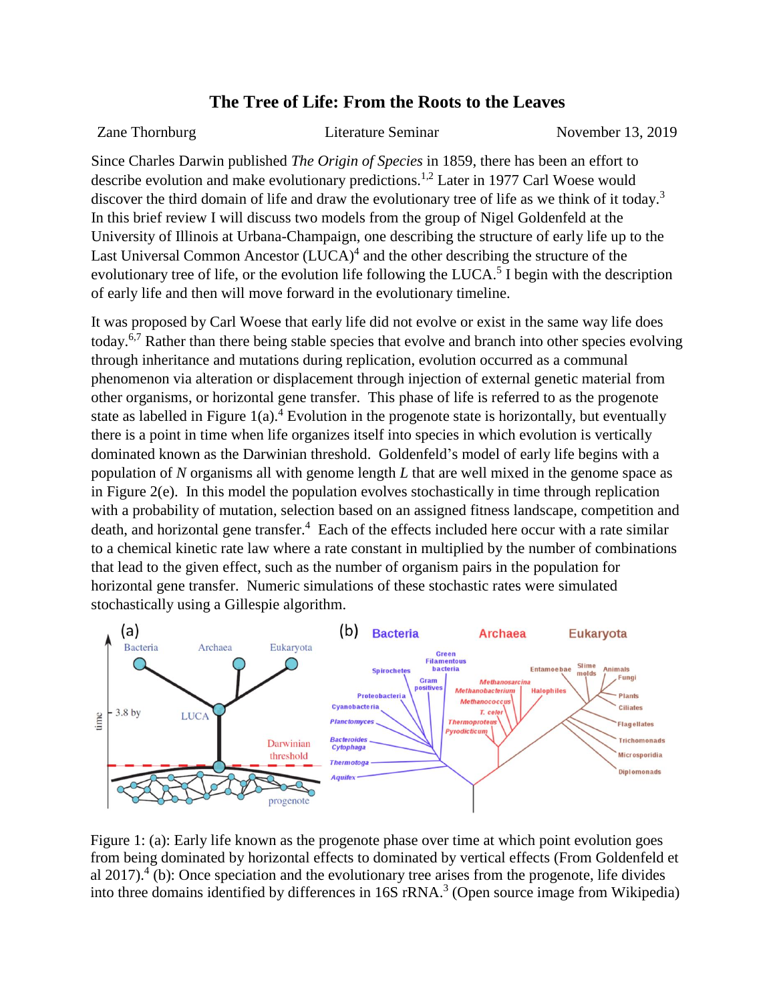## **The Tree of Life: From the Roots to the Leaves**

Zane Thornburg Literature Seminar November 13, 2019

Since Charles Darwin published *The Origin of Species* in 1859, there has been an effort to describe evolution and make evolutionary predictions. 1,2 Later in 1977 Carl Woese would discover the third domain of life and draw the evolutionary tree of life as we think of it today.<sup>3</sup> In this brief review I will discuss two models from the group of Nigel Goldenfeld at the University of Illinois at Urbana-Champaign, one describing the structure of early life up to the Last Universal Common Ancestor (LUCA)<sup>4</sup> and the other describing the structure of the evolutionary tree of life, or the evolution life following the LUCA.<sup>5</sup> I begin with the description of early life and then will move forward in the evolutionary timeline.

It was proposed by Carl Woese that early life did not evolve or exist in the same way life does today.6,7 Rather than there being stable species that evolve and branch into other species evolving through inheritance and mutations during replication, evolution occurred as a communal phenomenon via alteration or displacement through injection of external genetic material from other organisms, or horizontal gene transfer. This phase of life is referred to as the progenote state as labelled in Figure  $1(a)$ .<sup>4</sup> Evolution in the progenote state is horizontally, but eventually there is a point in time when life organizes itself into species in which evolution is vertically dominated known as the Darwinian threshold. Goldenfeld's model of early life begins with a population of *N* organisms all with genome length *L* that are well mixed in the genome space as in Figure 2(e). In this model the population evolves stochastically in time through replication with a probability of mutation, selection based on an assigned fitness landscape, competition and death, and horizontal gene transfer.<sup>4</sup> Each of the effects included here occur with a rate similar to a chemical kinetic rate law where a rate constant in multiplied by the number of combinations that lead to the given effect, such as the number of organism pairs in the population for horizontal gene transfer. Numeric simulations of these stochastic rates were simulated stochastically using a Gillespie algorithm.



Figure 1: (a): Early life known as the progenote phase over time at which point evolution goes from being dominated by horizontal effects to dominated by vertical effects (From Goldenfeld et al  $2017$ ).<sup>4</sup> (b): Once speciation and the evolutionary tree arises from the progenote, life divides into three domains identified by differences in 16S rRNA. 3 (Open source image from Wikipedia)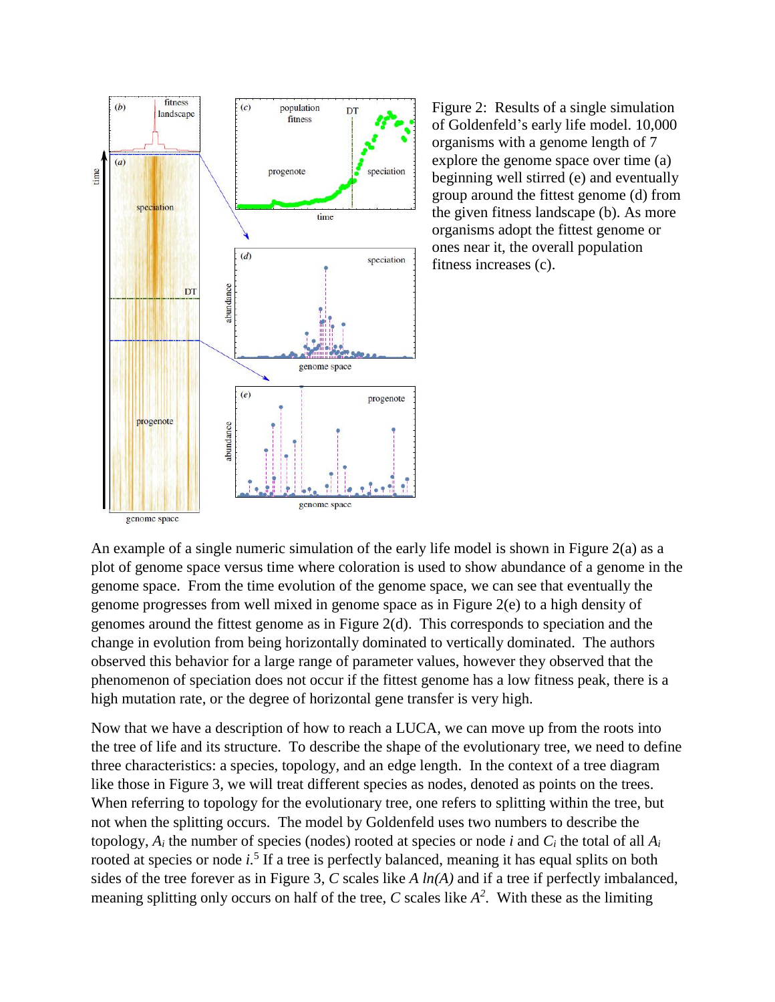

Figure 2: Results of a single simulation of Goldenfeld's early life model. 10,000 organisms with a genome length of 7 explore the genome space over time (a) beginning well stirred (e) and eventually group around the fittest genome (d) from the given fitness landscape (b). As more organisms adopt the fittest genome or ones near it, the overall population fitness increases (c).

An example of a single numeric simulation of the early life model is shown in Figure 2(a) as a plot of genome space versus time where coloration is used to show abundance of a genome in the genome space. From the time evolution of the genome space, we can see that eventually the genome progresses from well mixed in genome space as in Figure 2(e) to a high density of genomes around the fittest genome as in Figure 2(d). This corresponds to speciation and the change in evolution from being horizontally dominated to vertically dominated. The authors observed this behavior for a large range of parameter values, however they observed that the phenomenon of speciation does not occur if the fittest genome has a low fitness peak, there is a high mutation rate, or the degree of horizontal gene transfer is very high.

Now that we have a description of how to reach a LUCA, we can move up from the roots into the tree of life and its structure. To describe the shape of the evolutionary tree, we need to define three characteristics: a species, topology, and an edge length. In the context of a tree diagram like those in Figure 3, we will treat different species as nodes, denoted as points on the trees. When referring to topology for the evolutionary tree, one refers to splitting within the tree, but not when the splitting occurs. The model by Goldenfeld uses two numbers to describe the topology,  $A_i$  the number of species (nodes) rooted at species or node *i* and  $C_i$  the total of all  $A_i$ rooted at species or node *i.*<sup>5</sup> If a tree is perfectly balanced, meaning it has equal splits on both sides of the tree forever as in Figure 3, *C* scales like *A ln(A)* and if a tree if perfectly imbalanced, meaning splitting only occurs on half of the tree,  $C$  scales like  $A^2$ . With these as the limiting